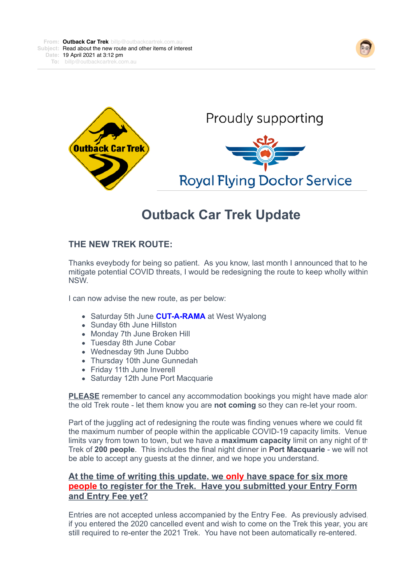



Proudly supporting **Royal Flying Doctor Service** 

# **Outback Car Trek Update**

## **THE NEW TREK ROUTE:**

Thanks eveybody for being so patient. As you know, last month I announced that to help mitigate potential COVID threats, I would be redesigning the route to keep wholly within NSW.

I can now advise the new route, as per below:

- Saturday 5th June **CUT-A-RAMA** at West Wyalong
- Sunday 6th June Hillston
- Monday 7th June Broken Hill
- Tuesday 8th June Cobar
- Wednesday 9th June Dubbo
- Thursday 10th June Gunnedah
- Friday 11th June Inverell
- Saturday 12th June Port Macquarie

**PLEASE** remember to cancel any accommodation bookings you might have made alor the old Trek route - let them know you are **not coming** so they can re-let your room.

Part of the juggling act of redesigning the route was finding venues where we could fit the maximum number of people within the applicable COVID-19 capacity limits. Venue limits vary from town to town, but we have a **maximum capacity** limit on any night of the Trek of **200 people**. This includes the final night dinner in **Port Macquarie** - we will not be able to accept any guests at the dinner, and we hope you understand.

## **At the time of writing this update, we only have space for six more people to register for the Trek. Have you submitted your Entry Form and Entry Fee yet?**

Entries are not accepted unless accompanied by the Entry Fee. As previously advised, if you entered the 2020 cancelled event and wish to come on the Trek this year, you are still required to re-enter the 2021 Trek. You have not been automatically re-entered.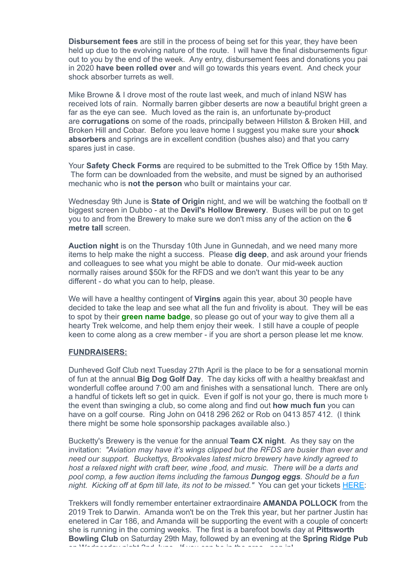**Disbursement fees** are still in the process of being set for this year, they have been held up due to the evolving nature of the route. I will have the final disbursements figur out to you by the end of the week. Any entry, disbursement fees and donations you paid in 2020 **have been rolled over** and will go towards this years event. And check your shock absorber turrets as well.

Mike Browne & I drove most of the route last week, and much of inland NSW has received lots of rain. Normally barren gibber deserts are now a beautiful bright green a far as the eye can see. Much loved as the rain is, an unfortunate by-product are **corrugations** on some of the roads, principally between Hillston & Broken Hill, and Broken Hill and Cobar. Before you leave home I suggest you make sure your **shock absorbers** and springs are in excellent condition (bushes also) and that you carry spares just in case.

Your **Safety Check Forms** are required to be submitted to the Trek Office by 15th May. The form can be downloaded from the website, and must be signed by an authorised mechanic who is **not the person** who built or maintains your car.

Wednesday 9th June is **State of Origin** night, and we will be watching the football on the biggest screen in Dubbo - at the **Devil's Hollow Brewery**. Buses will be put on to get you to and from the Brewery to make sure we don't miss any of the action on the **6 metre tall** screen.

**Auction night** is on the Thursday 10th June in Gunnedah, and we need many more items to help make the night a success. Please **dig deep**, and ask around your friends and colleagues to see what you might be able to donate. Our mid-week auction normally raises around \$50k for the RFDS and we don't want this year to be any different - do what you can to help, please.

We will have a healthy contingent of **Virgins** again this year, about 30 people have decided to take the leap and see what all the fun and frivolity is about. They will be eas to spot by their **green name badge**, so please go out of your way to give them all a hearty Trek welcome, and help them enjoy their week. I still have a couple of people keen to come along as a crew member - if you are short a person please let me know.

#### **FUNDRAISERS:**

Dunheved Golf Club next Tuesday 27th April is the place to be for a sensational morning of fun at the annual **Big Dog Golf Day**. The day kicks off with a healthy breakfast and wonderfull coffee around 7:00 am and finishes with a sensational lunch. There are only a handful of tickets left so get in quick. Even if golf is not your go, there is much more to the event than swinging a club, so come along and find out **how much fun** you can have on a golf course. Ring John on 0418 296 262 or Rob on 0413 857 412. (I think there might be some hole sponsorship packages available also.)

Bucketty's Brewery is the venue for the annual **Team CX night**. As they say on the invitation: *"Aviation may have it's wings clipped but the RFDS are busier than ever and need our support. Buckettys, Brookvales latest micro brewery have kindly agreed to host a relaxed night with craft beer, wine ,food, and music. There will be a darts and pool comp, a few auction items including the famous Dungog eggs. Should be a fun night. Kicking off at 6pm till late, its not to be missed."* You can get your tickets [HERE](https://4ljld.r.a.d.sendibm1.com/mk/cl/f/tHuFrqg_AGLAKpk_Avh10RezUgwK9MztVFJOPcsjWJWi-ywdwCs_j4O9SwQQu3eTtMAgMRveSbsZgqwiBYZjL7OV9_o8Y4jYS77NCPGgF2ha5Z2BPrfL2FhHwaZd_YD3chj39mV64iZpgEdxQNHDU8zcC3g8pt0pOId-4Z4ht_4LSCaSrKaHLYEcNL5moAu8tsSNh-3Hinuaqah80x0vALCEvenDhxcThMiduID23Rpta8c_oC0_Jw):

Trekkers will fondly remember entertainer extraordinaire **AMANDA POLLOCK** from the 2019 Trek to Darwin. Amanda won't be on the Trek this year, but her partner Justin has enetered in Car 186, and Amanda will be supporting the event with a couple of concerts she is running in the coming weeks. The first is a barefoot bowls day at **Pittsworth Bowling Club** on Saturday 29th May, followed by an evening at the **Spring Ridge Pub** on Wednesday night 2nd June. If you can be in the area - pop in!